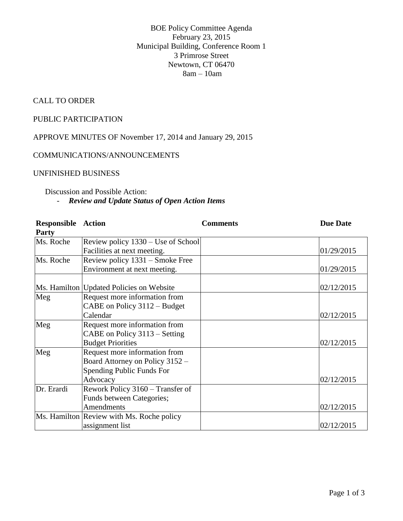BOE Policy Committee Agenda February 23, 2015 Municipal Building, Conference Room 1 3 Primrose Street Newtown, CT 06470 8am – 10am

### CALL TO ORDER

### PUBLIC PARTICIPATION

APPROVE MINUTES OF November 17, 2014 and January 29, 2015

#### COMMUNICATIONS/ANNOUNCEMENTS

### UNFINISHED BUSINESS

## Discussion and Possible Action: - *Review and Update Status of Open Action Items*

| <b>Responsible Action</b> |                                            | <b>Comments</b> | <b>Due Date</b> |
|---------------------------|--------------------------------------------|-----------------|-----------------|
| <b>Party</b>              |                                            |                 |                 |
| Ms. Roche                 | Review policy 1330 – Use of School         |                 |                 |
|                           | Facilities at next meeting.                |                 | 01/29/2015      |
| Ms. Roche                 | Review policy 1331 – Smoke Free            |                 |                 |
|                           | Environment at next meeting.               |                 | 01/29/2015      |
|                           |                                            |                 |                 |
|                           | Ms. Hamilton   Updated Policies on Website |                 | 02/12/2015      |
| Meg                       | Request more information from              |                 |                 |
|                           | CABE on Policy 3112 - Budget               |                 |                 |
|                           | Calendar                                   |                 | 02/12/2015      |
| Meg                       | Request more information from              |                 |                 |
|                           | CABE on Policy 3113 – Setting              |                 |                 |
|                           | <b>Budget Priorities</b>                   |                 | 02/12/2015      |
| Meg                       | Request more information from              |                 |                 |
|                           | Board Attorney on Policy 3152 -            |                 |                 |
|                           | Spending Public Funds For                  |                 |                 |
|                           | Advocacy                                   |                 | 02/12/2015      |
| Dr. Erardi                | Rework Policy 3160 - Transfer of           |                 |                 |
|                           | Funds between Categories;                  |                 |                 |
|                           | Amendments                                 |                 | 02/12/2015      |
|                           | Ms. Hamilton Review with Ms. Roche policy  |                 |                 |
|                           | assignment list                            |                 | 02/12/2015      |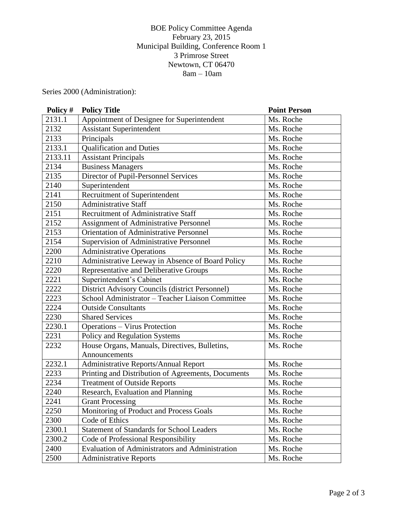## BOE Policy Committee Agenda February 23, 2015 Municipal Building, Conference Room 1 3 Primrose Street Newtown, CT 06470 8am – 10am

Series 2000 (Administration):

| Policy # | <b>Policy Title</b>                                | <b>Point Person</b> |
|----------|----------------------------------------------------|---------------------|
| 2131.1   | Appointment of Designee for Superintendent         | Ms. Roche           |
| 2132     | <b>Assistant Superintendent</b>                    | Ms. Roche           |
| 2133     | Principals                                         | Ms. Roche           |
| 2133.1   | <b>Qualification and Duties</b>                    | Ms. Roche           |
| 2133.11  | <b>Assistant Principals</b>                        | Ms. Roche           |
| 2134     | <b>Business Managers</b>                           | Ms. Roche           |
| 2135     | Director of Pupil-Personnel Services               | Ms. Roche           |
| 2140     | Superintendent                                     | Ms. Roche           |
| 2141     | Recruitment of Superintendent                      | Ms. Roche           |
| 2150     | <b>Administrative Staff</b>                        | Ms. Roche           |
| 2151     | Recruitment of Administrative Staff                | Ms. Roche           |
| 2152     | Assignment of Administrative Personnel             | Ms. Roche           |
| 2153     | <b>Orientation of Administrative Personnel</b>     | Ms. Roche           |
| 2154     | Supervision of Administrative Personnel            | Ms. Roche           |
| 2200     | <b>Administrative Operations</b>                   | Ms. Roche           |
| 2210     | Administrative Leeway in Absence of Board Policy   | Ms. Roche           |
| 2220     | Representative and Deliberative Groups             | Ms. Roche           |
| 2221     | Superintendent's Cabinet                           | Ms. Roche           |
| 2222     | District Advisory Councils (district Personnel)    | Ms. Roche           |
| 2223     | School Administrator - Teacher Liaison Committee   | Ms. Roche           |
| 2224     | <b>Outside Consultants</b>                         | Ms. Roche           |
| 2230     | <b>Shared Services</b>                             | Ms. Roche           |
| 2230.1   | <b>Operations - Virus Protection</b>               | Ms. Roche           |
| 2231     | Policy and Regulation Systems                      | Ms. Roche           |
| 2232     | House Organs, Manuals, Directives, Bulletins,      | Ms. Roche           |
|          | Announcements                                      |                     |
| 2232.1   | Administrative Reports/Annual Report               | Ms. Roche           |
| 2233     | Printing and Distribution of Agreements, Documents | Ms. Roche           |
| 2234     | <b>Treatment of Outside Reports</b>                | Ms. Roche           |
| 2240     | Research, Evaluation and Planning                  | Ms. Roche           |
| 2241     | <b>Grant Processing</b>                            | Ms. Roche           |
| 2250     | Monitoring of Product and Process Goals            | Ms. Roche           |
| 2300     | Code of Ethics                                     | Ms. Roche           |
| 2300.1   | <b>Statement of Standards for School Leaders</b>   | Ms. Roche           |
| 2300.2   | Code of Professional Responsibility                | Ms. Roche           |
| 2400     | Evaluation of Administrators and Administration    | Ms. Roche           |
| 2500     | <b>Administrative Reports</b>                      | Ms. Roche           |